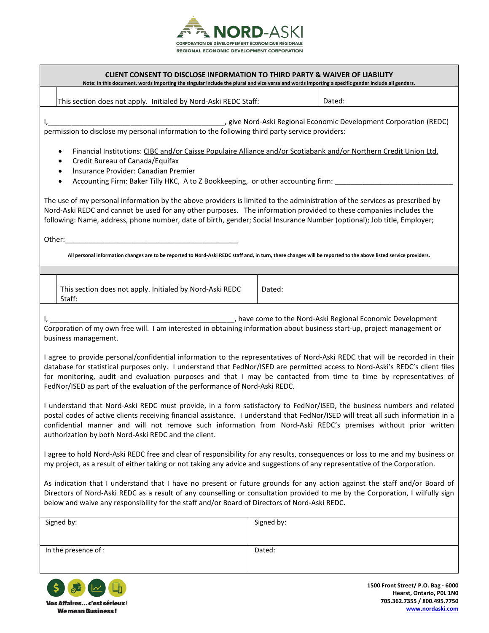

## **CLIENT CONSENT TO DISCLOSE INFORMATION TO THIRD PARTY & WAIVER OF LIABILITY**

**Note: In this document, words importing the singular include the plural and vice versa and words importing a specific gender include all genders.**

This section does not apply. Initialed by Nord-Aski REDC Staff: Dated: Dated:

I,\_\_\_\_\_\_\_\_\_\_\_\_\_\_\_\_\_\_\_\_\_\_\_\_\_\_\_\_\_\_\_\_\_\_\_\_\_\_\_\_\_\_\_\_\_, give Nord-Aski Regional Economic Development Corporation (REDC) permission to disclose my personal information to the following third party service providers:

- Financial Institutions: CIBC and/or Caisse Populaire Alliance and/or Scotiabank and/or Northern Credit Union Ltd.
- Credit Bureau of Canada/Equifax
- Insurance Provider: Canadian Premier
- Accounting Firm: Baker Tilly HKC, A to Z Bookkeeping, or other accounting firm:

The use of my personal information by the above providers is limited to the administration of the services as prescribed by Nord-Aski REDC and cannot be used for any other purposes. The information provided to these companies includes the following: Name, address, phone number, date of birth, gender; Social Insurance Number (optional); Job title, Employer;

Other:\_\_\_\_\_\_\_\_\_\_\_\_\_\_\_\_\_\_\_\_\_\_\_\_\_\_\_\_\_\_\_\_\_\_\_\_\_\_\_\_\_\_\_\_

**All personal information changes are to be reported to Nord-Aski REDC staff and, in turn, these changes will be reported to the above listed service providers.**

| This section does not apply. Initialed by Nord-Aski REDC | Dated: |
|----------------------------------------------------------|--------|
| Staff                                                    |        |

I, the come to the Nord-Aski Regional Economic Development in the Nord-Aski Regional Economic Development Corporation of my own free will. I am interested in obtaining information about business start-up, project management or business management.

I agree to provide personal/confidential information to the representatives of Nord-Aski REDC that will be recorded in their database for statistical purposes only. I understand that FedNor/ISED are permitted access to Nord-Aski's REDC's client files for monitoring, audit and evaluation purposes and that I may be contacted from time to time by representatives of FedNor/ISED as part of the evaluation of the performance of Nord-Aski REDC.

I understand that Nord-Aski REDC must provide, in a form satisfactory to FedNor/ISED, the business numbers and related postal codes of active clients receiving financial assistance. I understand that FedNor/ISED will treat all such information in a confidential manner and will not remove such information from Nord-Aski REDC's premises without prior written authorization by both Nord-Aski REDC and the client.

I agree to hold Nord-Aski REDC free and clear of responsibility for any results, consequences or loss to me and my business or my project, as a result of either taking or not taking any advice and suggestions of any representative of the Corporation.

As indication that I understand that I have no present or future grounds for any action against the staff and/or Board of Directors of Nord-Aski REDC as a result of any counselling or consultation provided to me by the Corporation, I wilfully sign below and waive any responsibility for the staff and/or Board of Directors of Nord-Aski REDC.

| Signed by:           | Signed by: |
|----------------------|------------|
| In the presence of : | Dated:     |